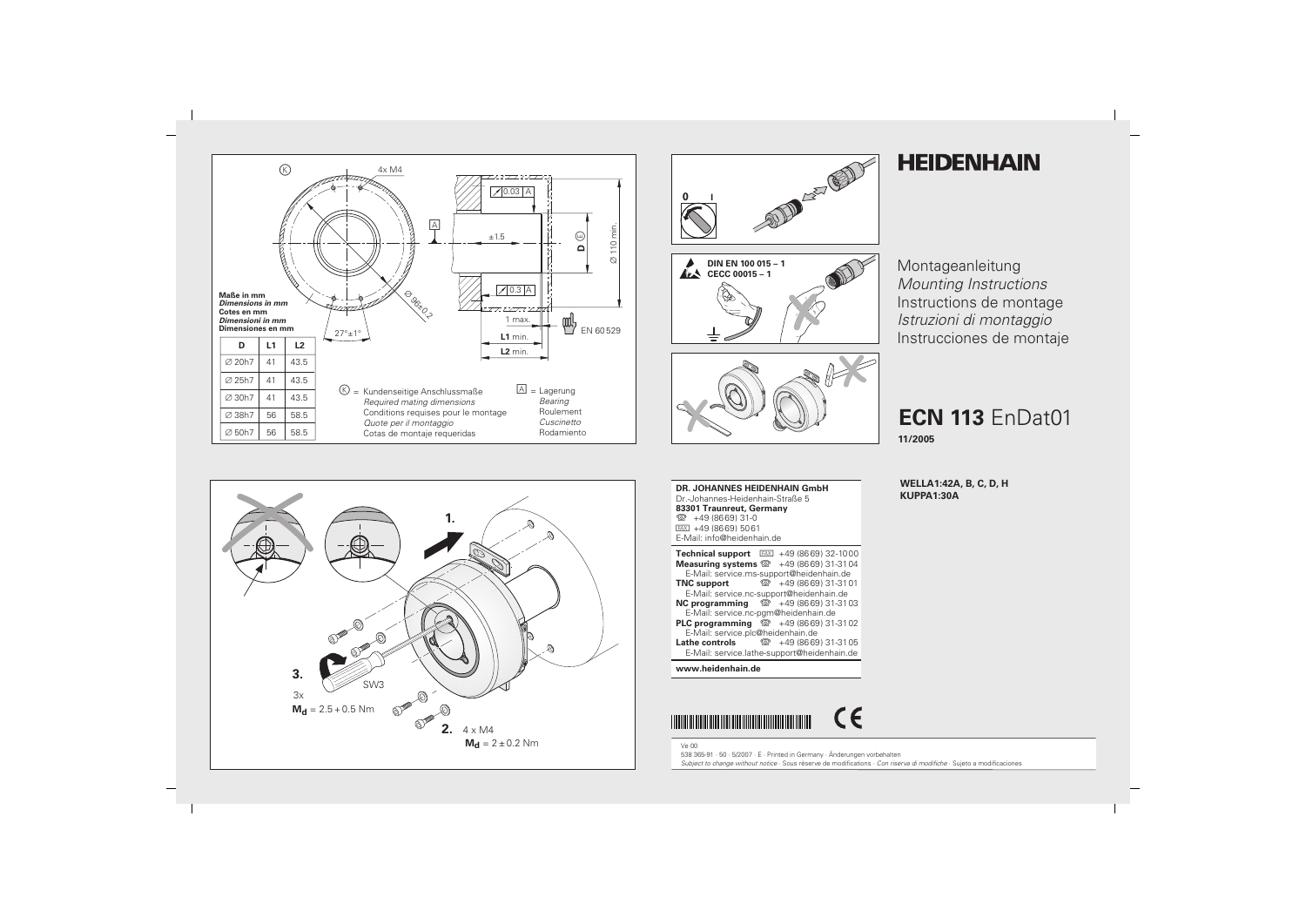







# **HEIDENHAIN**

Montageanleitung **Mounting Instructions** Instructions de montage Istruzioni di montaggio Instrucciones de montaje

# **ECN 113 EnDat01**

11/2005

**WELLA1:42A, B, C, D, H** KUPPA1:30A



**DR. JOHANNES HEIDENHAIN GmbH** Dr.-Johannes-Heidenhain-Straße 5 83301 Traunreut, Germany <sup>**<sup>3</sup>**+49 (8669) 31-0</sup>  $FAX$  +49 (8669) 5061 E-Mail: info@heidenhain.de  $Tophninal~\text{number}$   $\overline{ENV}$   $(10/9660)$  22.1000

| <b>I CUILING SUPPORT</b> $\frac{1}{2}$ $\frac{1}{2}$ $\frac{1}{2}$ $\frac{1}{2}$ $\frac{1}{2}$ $\frac{1}{2}$ $\frac{1}{2}$ $\frac{1}{2}$ |                      |  |  |  |  |  |  |  |
|------------------------------------------------------------------------------------------------------------------------------------------|----------------------|--|--|--|--|--|--|--|
| <b>Measuring systems <math>\circledR</math></b> +49 (8669) 31-3104                                                                       |                      |  |  |  |  |  |  |  |
| E-Mail: service.ms-support@heidenhain.de                                                                                                 |                      |  |  |  |  |  |  |  |
| <b>TNC</b> support                                                                                                                       | ම +49 (8669) 31-3101 |  |  |  |  |  |  |  |
| E-Mail: service.nc-support@heidenhain.de                                                                                                 |                      |  |  |  |  |  |  |  |
| <b>NC programming</b> $\circledcirc$ +49 (8669) 31-31 03                                                                                 |                      |  |  |  |  |  |  |  |
| E-Mail: service.nc-pgm@heidenhain.de                                                                                                     |                      |  |  |  |  |  |  |  |
| <b>PLC programming</b> <sup>2</sup> +49 (8669) 31-31 02                                                                                  |                      |  |  |  |  |  |  |  |
| E-Mail: service.plc@heidenhain.de                                                                                                        |                      |  |  |  |  |  |  |  |
| <b>Lathe controls</b> $\textcircled{3}$ +49 (8669) 31-31 05                                                                              |                      |  |  |  |  |  |  |  |
| E-Mail: service.lathe-support@heidenhain.de                                                                                              |                      |  |  |  |  |  |  |  |

# www.heidenhain.de



 $Ve$  00 538 365-91 · 50 · 5/2007 · E · Printed in Germany · Änderungen vorbehalten Subject to change without notice · Sous réserve de modifications · Con riserva di modifiche · Sujeto a modificaciones